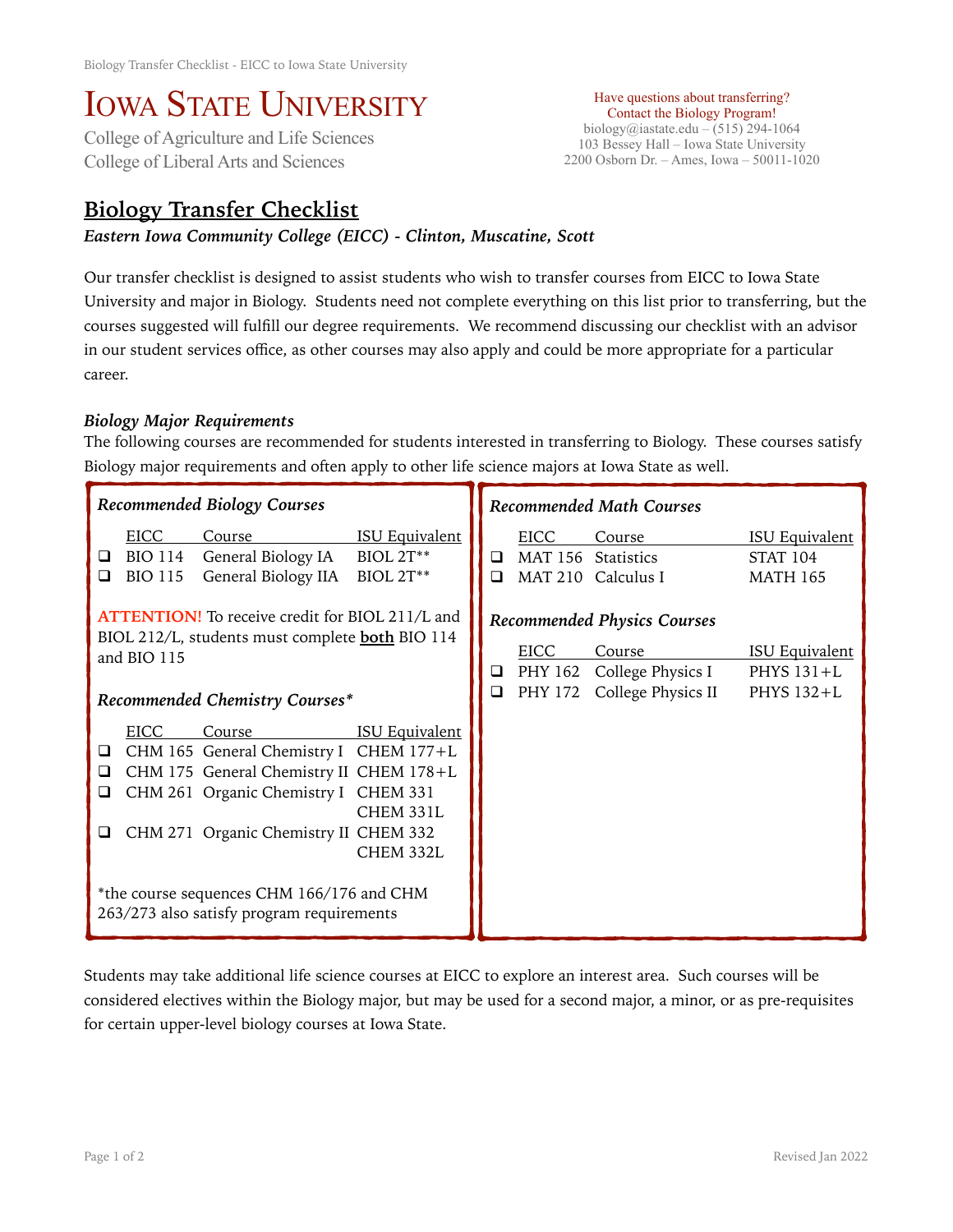# IOWA STATE UNIVERSITY<br>College of Agriculture and Life Sciences

College of Liberal Arts and Sciences

#### Have questions about transferring? Contact the Biology Program! biology@iastate.edu – (515) 294-1064 103 Bessey Hall – Iowa State University 2200 Osborn Dr. – Ames, Iowa – 50011-1020

# **Biology Transfer Checklist**

*Eastern Iowa Community College (EICC) - Clinton, Muscatine, Scott* 

Our transfer checklist is designed to assist students who wish to transfer courses from EICC to Iowa State University and major in Biology. Students need not complete everything on this list prior to transferring, but the courses suggested will fulfill our degree requirements. We recommend discussing our checklist with an advisor in our student services office, as other courses may also apply and could be more appropriate for a particular career.

## *Biology Major Requirements*

The following courses are recommended for students interested in transferring to Biology. These courses satisfy Biology major requirements and often apply to other life science majors at Iowa State as well.

| <b>Recommended Biology Courses</b>                                                                                                                                |                                          |                                                                                                                                                                                                                                                                        |                                                        | <b>Recommended Math Courses</b> |                                                                                                 |                                                     |                                                             |
|-------------------------------------------------------------------------------------------------------------------------------------------------------------------|------------------------------------------|------------------------------------------------------------------------------------------------------------------------------------------------------------------------------------------------------------------------------------------------------------------------|--------------------------------------------------------|---------------------------------|-------------------------------------------------------------------------------------------------|-----------------------------------------------------|-------------------------------------------------------------|
| ❏<br>◻                                                                                                                                                            | EICC<br><b>BIO 114</b><br><b>BIO 115</b> | Course<br>General Biology IA<br>General Biology IIA                                                                                                                                                                                                                    | <b>ISU Equivalent</b><br>BIOL 2T**<br><b>BIOL 2T**</b> | $\Box$<br>◻                     | <b>EICC</b>                                                                                     | Course<br>MAT 156 Statistics<br>MAT 210 Calculus I  | <b>ISU Equivalent</b><br><b>STAT 104</b><br><b>MATH 165</b> |
| <b>ATTENTION!</b> To receive credit for BIOL 211/L and<br>BIOL 212/L, students must complete <b>both</b> BIO 114<br>and BIO 115<br>Recommended Chemistry Courses* |                                          |                                                                                                                                                                                                                                                                        | Q.<br>$\Box$                                           | EICC<br>PHY 172                 | <b>Recommended Physics Courses</b><br>Course<br>PHY 162 College Physics I<br>College Physics II | <b>ISU Equivalent</b><br>PHYS $131+L$<br>PHYS 132+L |                                                             |
| $\Box$<br>□<br>❏<br>⊔                                                                                                                                             | <b>EICC</b>                              | Course<br>CHM 165 General Chemistry I CHEM 177+L<br>CHM 175 General Chemistry II CHEM 178+L<br>CHM 261 Organic Chemistry I CHEM 331<br>CHM 271 Organic Chemistry II CHEM 332<br>*the course sequences CHM 166/176 and CHM<br>263/273 also satisfy program requirements | <b>ISU Equivalent</b><br>CHEM 331L<br>CHEM 332L        |                                 |                                                                                                 |                                                     |                                                             |

Students may take additional life science courses at EICC to explore an interest area. Such courses will be considered electives within the Biology major, but may be used for a second major, a minor, or as pre-requisites for certain upper-level biology courses at Iowa State.